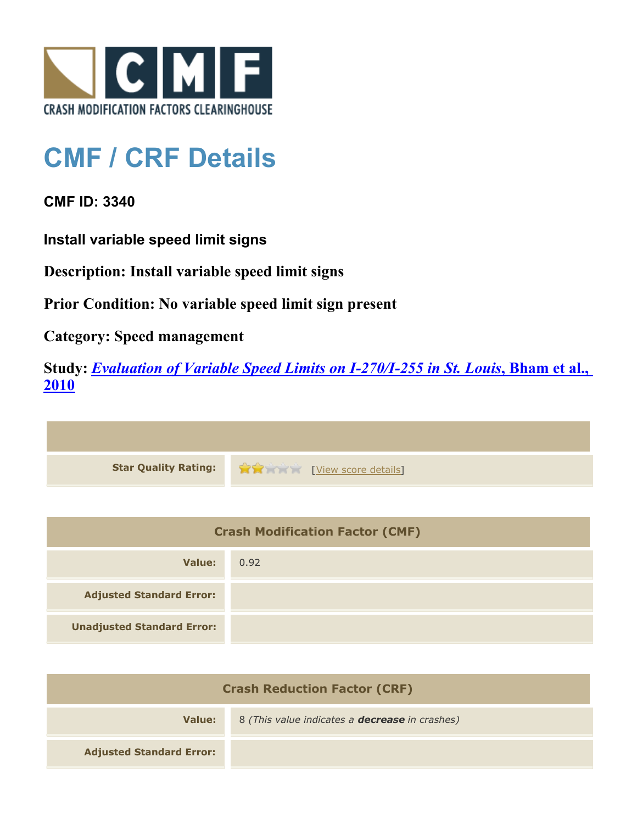

## **CMF / CRF Details**

**CMF ID: 3340**

**Install variable speed limit signs**

**Description: Install variable speed limit signs**

**Prior Condition: No variable speed limit sign present**

**Category: Speed management**

**Study:** *[Evaluation of Variable Speed Limits on I-270/I-255 in St. Louis](http://www.cmfclearinghouse.org/study_detail.cfm?stid=233)***[, Bham et al.,](http://www.cmfclearinghouse.org/study_detail.cfm?stid=233) [2010](http://www.cmfclearinghouse.org/study_detail.cfm?stid=233)**



| <b>Crash Modification Factor (CMF)</b> |      |
|----------------------------------------|------|
| Value:                                 | 0.92 |
| <b>Adjusted Standard Error:</b>        |      |
| <b>Unadjusted Standard Error:</b>      |      |

| <b>Crash Reduction Factor (CRF)</b> |                                                       |
|-------------------------------------|-------------------------------------------------------|
| Value:                              | 8 (This value indicates a <b>decrease</b> in crashes) |
| <b>Adjusted Standard Error:</b>     |                                                       |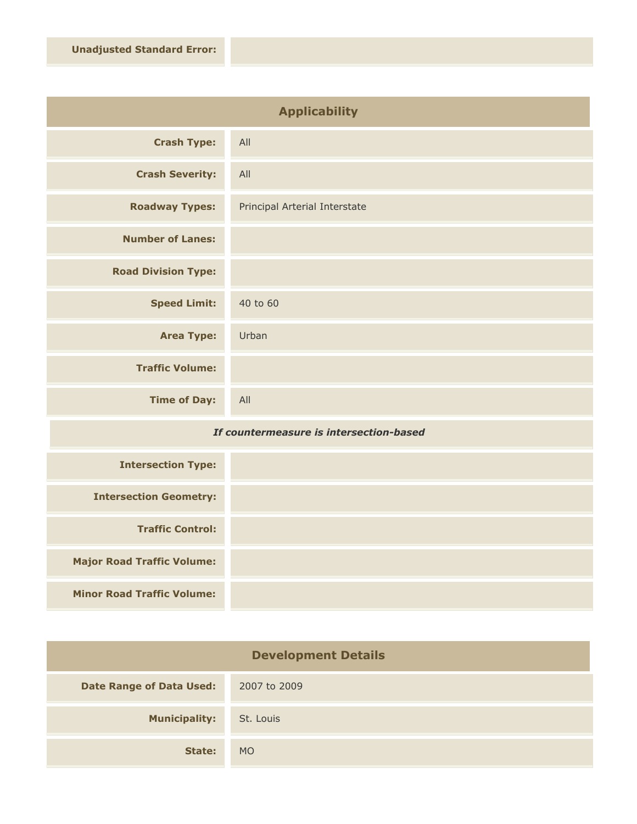| <b>Applicability</b>       |                               |
|----------------------------|-------------------------------|
| <b>Crash Type:</b>         | All                           |
| <b>Crash Severity:</b>     | All                           |
| <b>Roadway Types:</b>      | Principal Arterial Interstate |
| <b>Number of Lanes:</b>    |                               |
| <b>Road Division Type:</b> |                               |
| <b>Speed Limit:</b>        | 40 to 60                      |
| <b>Area Type:</b>          | Urban                         |
| <b>Traffic Volume:</b>     |                               |
| <b>Time of Day:</b>        | All                           |

## *If countermeasure is intersection-based*

| <b>Intersection Type:</b>         |  |
|-----------------------------------|--|
| <b>Intersection Geometry:</b>     |  |
| <b>Traffic Control:</b>           |  |
| <b>Major Road Traffic Volume:</b> |  |
| <b>Minor Road Traffic Volume:</b> |  |

| <b>Development Details</b>      |              |
|---------------------------------|--------------|
| <b>Date Range of Data Used:</b> | 2007 to 2009 |
| <b>Municipality:</b>            | St. Louis    |
| State:                          | <b>MO</b>    |